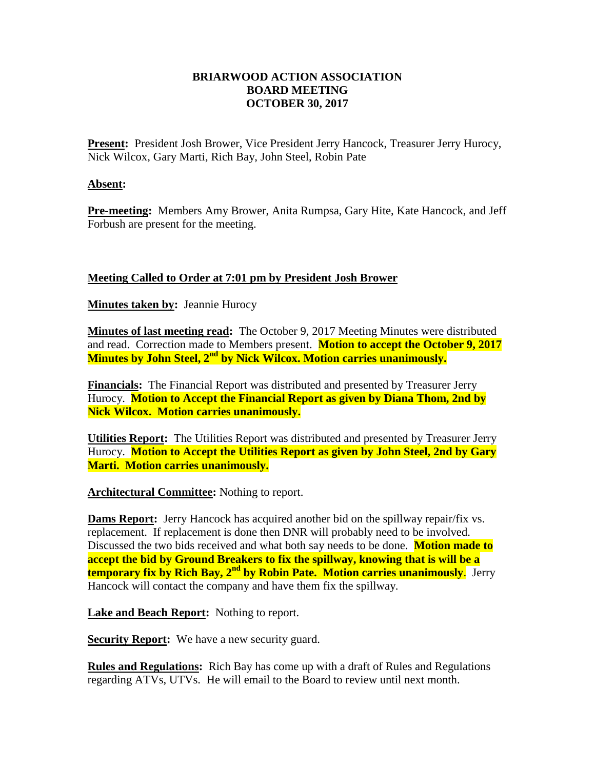## **BRIARWOOD ACTION ASSOCIATION BOARD MEETING OCTOBER 30, 2017**

Present: President Josh Brower, Vice President Jerry Hancock, Treasurer Jerry Hurocy, Nick Wilcox, Gary Marti, Rich Bay, John Steel, Robin Pate

### **Absent:**

**Pre-meeting:** Members Amy Brower, Anita Rumpsa, Gary Hite, Kate Hancock, and Jeff Forbush are present for the meeting.

# **Meeting Called to Order at 7:01 pm by President Josh Brower**

**Minutes taken by:** Jeannie Hurocy

**Minutes of last meeting read:** The October 9, 2017 Meeting Minutes were distributed and read. Correction made to Members present. **Motion to accept the October 9, 2017 Minutes by John Steel, 2nd by Nick Wilcox. Motion carries unanimously.**

**Financials:** The Financial Report was distributed and presented by Treasurer Jerry Hurocy. **Motion to Accept the Financial Report as given by Diana Thom, 2nd by Nick Wilcox. Motion carries unanimously.**

**Utilities Report:** The Utilities Report was distributed and presented by Treasurer Jerry Hurocy. **Motion to Accept the Utilities Report as given by John Steel, 2nd by Gary Marti. Motion carries unanimously.**

#### **Architectural Committee:** Nothing to report.

**Dams Report:** Jerry Hancock has acquired another bid on the spillway repair/fix vs. replacement. If replacement is done then DNR will probably need to be involved. Discussed the two bids received and what both say needs to be done. **Motion made to accept the bid by Ground Breakers to fix the spillway, knowing that is will be a temporary fix by Rich Bay, 2nd by Robin Pate. Motion carries unanimously**. Jerry Hancock will contact the company and have them fix the spillway.

**Lake and Beach Report:** Nothing to report.

**Security Report:** We have a new security guard.

**Rules and Regulations:** Rich Bay has come up with a draft of Rules and Regulations regarding ATVs, UTVs. He will email to the Board to review until next month.